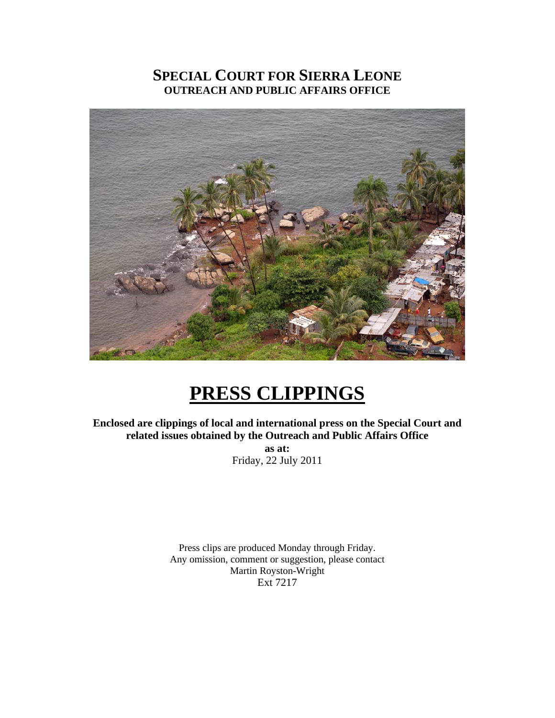## **SPECIAL COURT FOR SIERRA LEONE OUTREACH AND PUBLIC AFFAIRS OFFICE**



# **PRESS CLIPPINGS**

**Enclosed are clippings of local and international press on the Special Court and related issues obtained by the Outreach and Public Affairs Office** 

**as at:**  Friday, 22 July 2011

Press clips are produced Monday through Friday. Any omission, comment or suggestion, please contact Martin Royston-Wright Ext 7217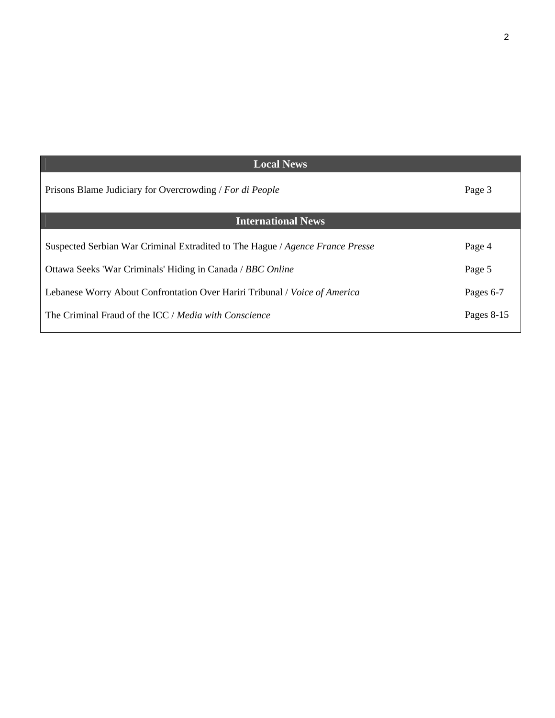| <b>Local News</b>                                                             |            |
|-------------------------------------------------------------------------------|------------|
| Prisons Blame Judiciary for Overcrowding / For di People                      | Page 3     |
| <b>International News</b>                                                     |            |
| Suspected Serbian War Criminal Extradited to The Hague / Agence France Presse | Page 4     |
| Ottawa Seeks 'War Criminals' Hiding in Canada / BBC Online                    | Page 5     |
| Lebanese Worry About Confrontation Over Hariri Tribunal / Voice of America    | Pages 6-7  |
| The Criminal Fraud of the ICC / Media with Conscience                         | Pages 8-15 |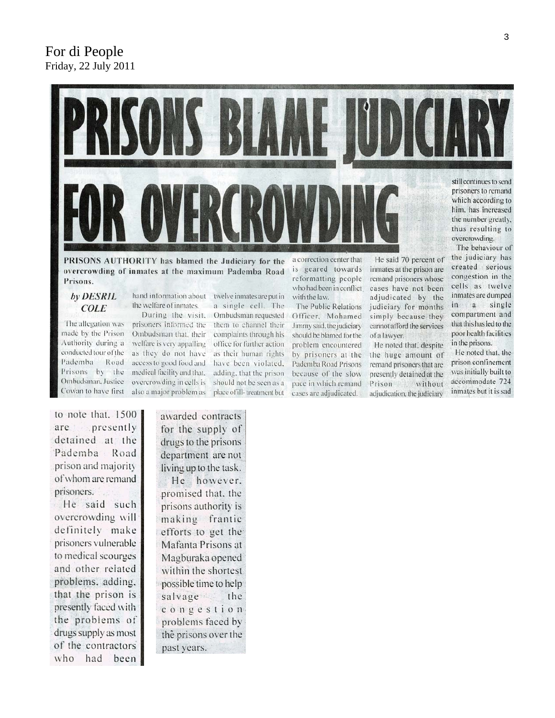## For di People Friday, 22 July 2011



PRISONS AUTHORITY has blamed the Judiciary for the overcrowding of inmates at the maximum Pademba Road Prisons.

hand information about

#### by DESRIL **COLE**

The allegation was made by the Prison Authority during a conducted tour of the Pademba Road Prisons by the Ombudsman, Justice Cowan to have first

the welfare of inmates. During the visit. prisoners informed the Ombudsman that, their welfare is very appalling as they do not have access to good food and medical facility and that. overcrowding in cells is also a major problem as

twelve inmates are put in a single cell. The Ombudsman requested them to channel their complaints through his office for further action as their human rights have been violated. adding, that the prison should not be seen as a place of ill-treatment but

a correction center that is geared towards reformatting people who had been in conflict with the law.

The Public Relations Officer, Mohamed Jimmy said, the judiciary should be blamed for the problem encountered by prisoners at the Pademba Road Prisons because of the slow pace in which remand cases are adjudicated.

He said 70 percent of inmates at the prison are remand prisoners whose cases have not been adjudicated by the judiciary for months simply because they cannot afford the services of a lawyer.

He noted that, despite the huge amount of remand prisoners that are presently detained at the Prison without adjudication, the judiciary

the judiciary has created serious congestion in the cells as twelve inmates are dumped in a single compartment and that this has led to the poor health facilities in the prisons.

He noted that, the prison confinement was initially built to accommodate 724 inmates but it is sad

to note that. 1500 are presently detained at the Pademba Road prison and majority of whom are remand prisoners. He said such overcrowding will definitely make prisoners vulnerable to medical scourges and other related problems, adding, that the prison is presently faced with the problems of drugs supply as most of the contractors who had been

awarded contracts for the supply of drugs to the prisons department are not living up to the task.

He however. promised that, the prisons authority is making frantic efforts to get the Mafanta Prisons at Magburaka opened within the shortest possible time to help salvage the congestion problems faced by the prisons over the past years.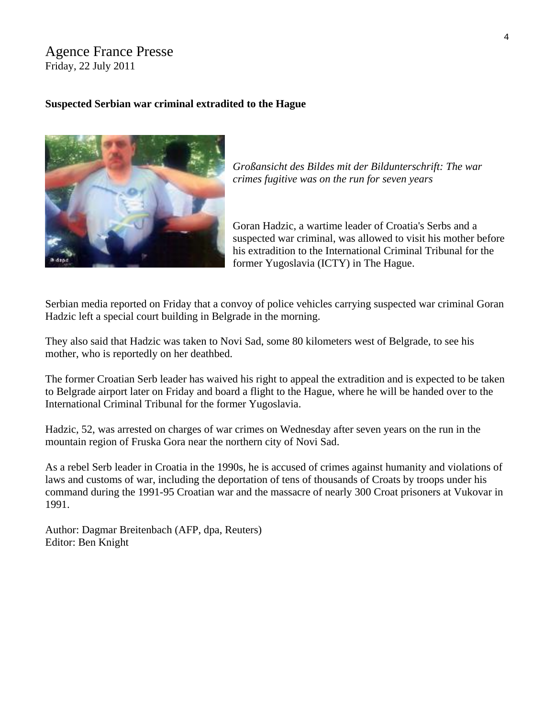## Agence France Presse Friday, 22 July 2011

## **Suspected Serbian war criminal extradited to the Hague**



*[Großansicht des Bildes mit der Bildunterschrift: The war](http://www.dw-world.de/popups/popup_lupe/0,,15259123,00.html)  [crimes fugitive was on the run for seven years](http://www.dw-world.de/popups/popup_lupe/0,,15259123,00.html)* 

Goran Hadzic, a wartime leader of Croatia's Serbs and a suspected war criminal, was allowed to visit his mother before his extradition to the International Criminal Tribunal for the former Yugoslavia (ICTY) in The Hague.

Serbian media reported on Friday that a convoy of police vehicles carrying suspected war criminal Goran Hadzic left a special court building in Belgrade in the morning.

They also said that Hadzic was taken to Novi Sad, some 80 kilometers west of Belgrade, to see his mother, who is reportedly on her deathbed.

The former Croatian Serb leader has waived his right to appeal the extradition and is expected to be taken to Belgrade airport later on Friday and board a flight to the Hague, where he will be handed over to the International Criminal Tribunal for the former Yugoslavia.

Hadzic, 52, was arrested on charges of war crimes on Wednesday after seven years on the run in the mountain region of Fruska Gora near the northern city of Novi Sad.

As a rebel Serb leader in Croatia in the 1990s, he is accused of crimes against humanity and violations of laws and customs of war, including the deportation of tens of thousands of Croats by troops under his command during the 1991-95 Croatian war and the massacre of nearly 300 Croat prisoners at Vukovar in 1991.

Author: Dagmar Breitenbach (AFP, dpa, Reuters) Editor: Ben Knight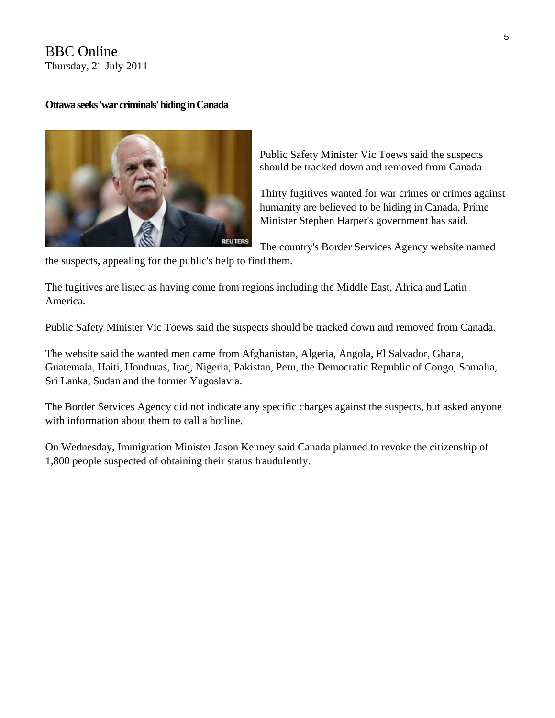## BBC Online Thursday, 21 July 2011

## **Ottawa seeks 'war criminals' hiding in Canada**



Public Safety Minister Vic Toews said the suspects should be tracked down and removed from Canada

Thirty fugitives wanted for war crimes or crimes against humanity are believed to be hiding in Canada, Prime Minister Stephen Harper's government has said.

The country's Border Services Agency website named

the suspects, appealing for the public's help to find them.

The fugitives are listed as having come from regions including the Middle East, Africa and Latin America.

Public Safety Minister Vic Toews said the suspects should be tracked down and removed from Canada.

The website said the wanted men came from Afghanistan, Algeria, Angola, El Salvador, Ghana, Guatemala, Haiti, Honduras, Iraq, Nigeria, Pakistan, Peru, the Democratic Republic of Congo, Somalia, Sri Lanka, Sudan and the former Yugoslavia.

The Border Services Agency did not indicate any specific charges against the suspects, but asked anyone with information about them to call a hotline.

On Wednesday, Immigration Minister Jason Kenney said Canada planned to revoke the citizenship of 1,800 people suspected of obtaining their status fraudulently.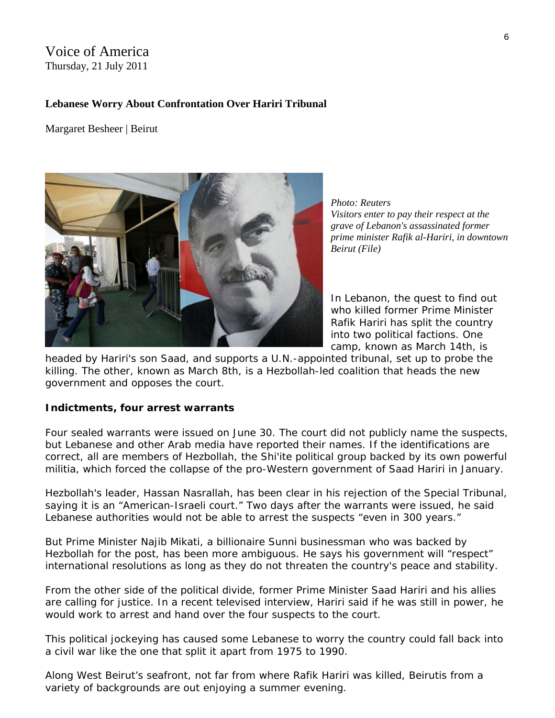## Voice of America Thursday, 21 July 2011

## **Lebanese Worry About Confrontation Over Hariri Tribunal**

Margaret Besheer | Beirut



*Photo: Reuters Visitors enter to pay their respect at the grave of Lebanon's assassinated former prime minister Rafik al-Hariri, in d owntown Beirut (File)* 

In Lebanon, the quest to find out who killed former Prime Minister Rafik Hariri has split the country into two political factions. One camp, known as March 14th, is

headed by Hariri's son Saad, and supports a U.N.-appointed tribunal, set up to probe the killing. The other, known as March 8th, is a Hezbollah-led coalition that heads the new government and opposes the court.

#### **Indictments, four arrest warrants**

Four sealed warrants were issued on June 30. The court did not publicly name the suspects, but Lebanese and other Arab media have reported their names. If the identifications are correct, all are members of Hezbollah, the Shi'ite political group backed by its own powerful militia, which forced the collapse of the pro-Western government of Saad Hariri in January.

Hezbollah's leader, Hassan Nasrallah, has been clear in his rejection of the Special Tribunal, saying it is an "American-Israeli court." Two days after the warrants were issued, he said Lebanese authorities would not be able to arrest the suspects "even in 300 years."

But Prime Minister Najib Mikati, a billionaire Sunni businessman who was backed by Hezbollah for the post, has been more ambiguous. He says his government will "respect" international resolutions as long as they do not threaten the country's peace and stability.

From the other side of the political divide, former Prime Minister Saad Hariri and his allies are calling for justice. In a recent televised interview, Hariri said if he was still in power, he would work to arrest and hand over the four suspects to the court.

This political jockeying has caused some Lebanese to worry the country could fall back into a civil war like the one that split it apart from 1975 to 1990.

Along West Beirut's seafront, not far from where Rafik Hariri was killed, Beirutis from a variety of backgrounds are out enjoying a summer evening.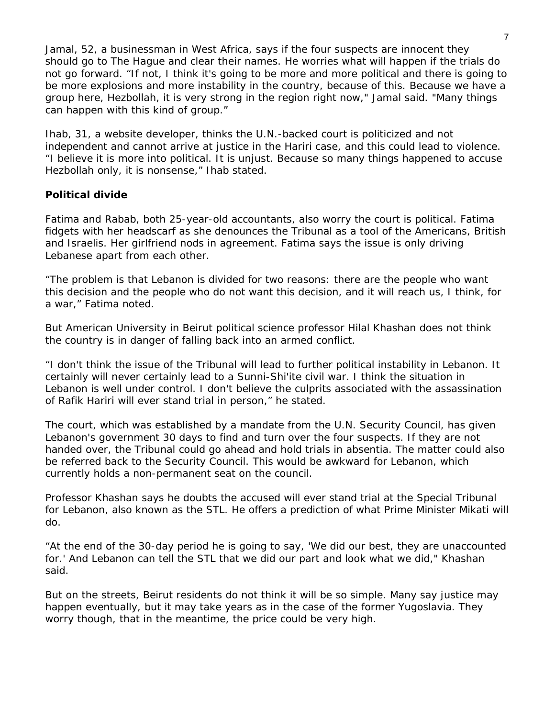Jamal, 52, a businessman in West Africa, says if the four suspects are innocent they should go to The Hague and clear their names. He worries what will happen if the trials do not go forward. "If not, I think it's going to be more and more political and there is going to be more explosions and more instability in the country, because of this. Because we have a group here, Hezbollah, it is very strong in the region right now," Jamal said. "Many things can happen with this kind of group."

Ihab, 31, a website developer, thinks the U.N.-backed court is politicized and not independent and cannot arrive at justice in the Hariri case, and this could lead to violence. "I believe it is more into political. It is unjust. Because so many things happened to accuse Hezbollah only, it is nonsense," Ihab stated.

## **Political divide**

Fatima and Rabab, both 25-year-old accountants, also worry the court is political. Fatima fidgets with her headscarf as she denounces the Tribunal as a tool of the Americans, British and Israelis. Her girlfriend nods in agreement. Fatima says the issue is only driving Lebanese apart from each other.

"The problem is that Lebanon is divided for two reasons: there are the people who want this decision and the people who do not want this decision, and it will reach us, I think, for a war," Fatima noted.

But American University in Beirut political science professor Hilal Khashan does not think the country is in danger of falling back into an armed conflict.

"I don't think the issue of the Tribunal will lead to further political instability in Lebanon. It certainly will never certainly lead to a Sunni-Shi'ite civil war. I think the situation in Lebanon is well under control. I don't believe the culprits associated with the assassination of Rafik Hariri will ever stand trial in person," he stated.

The court, which was established by a mandate from the U.N. Security Council, has given Lebanon's government 30 days to find and turn over the four suspects. If they are not handed over, the Tribunal could go ahead and hold trials in absentia. The matter could also be referred back to the Security Council. This would be awkward for Lebanon, which currently holds a non-permanent seat on the council.

Professor Khashan says he doubts the accused will ever stand trial at the Special Tribunal for Lebanon, also known as the STL. He offers a prediction of what Prime Minister Mikati will do.

"At the end of the 30-day period he is going to say, 'We did our best, they are unaccounted for.' And Lebanon can tell the STL that we did our part and look what we did," Khashan said.

But on the streets, Beirut residents do not think it will be so simple. Many say justice may happen eventually, but it may take years as in the case of the former Yugoslavia. They worry though, that in the meantime, the price could be very high.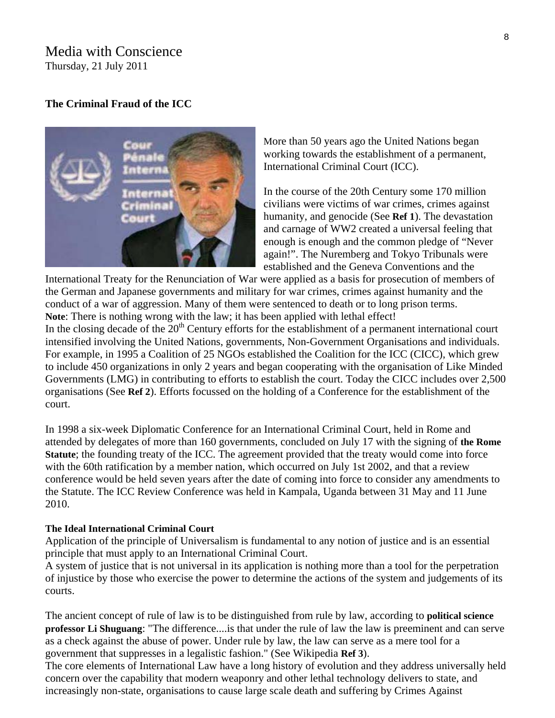## Media with Conscience Thursday, 21 July 2011

#### **[The Criminal Fraud of the ICC](http://mwcnews.net/focus/editorial/12259-icc.html)**

More than 50 years ago the United Nations began working towards the establishment of a permanent, International Criminal Court (ICC). **ACCESS** In the course of the 20th Century some 170 million ern mini Court

civilians were victims of war crimes, crimes against humanity, and genocide (See **Ref 1**). The devastation and carnage of WW2 created a universal feeling that enough is enough and the common pledge of "Never again!". The Nuremberg and Tokyo Tribunals were

established and the Geneva Conventions and the

International Treaty for the Renunciation of War were applied as a basis for prosecution of members of the German and Japanese governments and military for war crimes, crimes against humanity and the conduct of a war of aggression. Many of them were sentenced to death or to long prison terms. **Note**: There is nothing wrong with the law; it has been applied with lethal effect! In the closing decade of the  $20<sup>th</sup>$  Century efforts for the establishment of a permanent international court intensified involving the United Nations, governments, Non-Government Organisations and individuals. For example, in 1995 a Coalition of 25 NGOs established the Coalition for the ICC (CICC), which grew to include 450 organizations in only 2 years and began cooperating with the organisation of Like Minded Governments (LMG) in contributing to efforts to establish the court. Today the CICC includes over 2,500 organisations (See **Ref 2**). Efforts focussed on the holding of a Conference for the establishment of the

In 1998 a six-week Diplomatic Conference for an International Criminal Court, held in Rome and attended by delegates of more than 160 governments, concluded on July 17 with the signing of **the Rome Statute**; the founding treaty of the ICC. The agreement provided that the treaty would come into force with the 60th ratification by a member nation, which occurred on July 1st 2002, and that a review conference would be held seven years after the date of coming into force to consider any amendments to the Statute. The ICC Review Conference was held in Kampala, Uganda between 31 May and 11 June 2010.

#### **The Ideal International Criminal Court**

court.

Application of the principle of Universalism is fundamental to any notion of justice and is an essential principle that must apply to an International Criminal Court.

A system of justice that is not universal in its application is nothing more than a tool for the perpetration of injustice by those who exercise the power to determine the actions of the system and judgements of its courts.

The ancient concept of rule of law is to be distinguished from rule by law, according to **political science professor Li Shuguang**: "The difference....is that under the rule of law the law is preeminent and can serve as a check against the abuse of power. Under rule by law, the law can serve as a mere tool for a government that suppresses in a legalistic fashion." (See Wikipedia **Ref 3**).

The core elements of International Law have a long history of evolution and they address universally held concern over the capability that modern weaponry and other lethal technology delivers to state, and increasingly non-state, organisations to cause large scale death and suffering by Crimes Against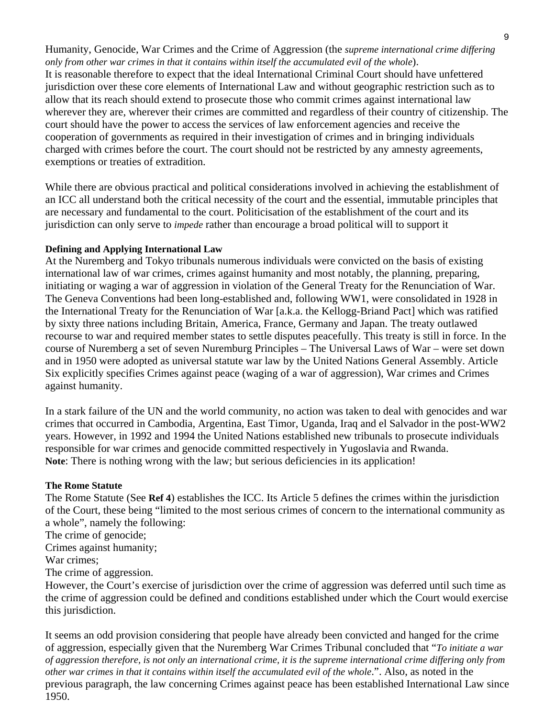Humanity, Genocide, War Crimes and the Crime of Aggression (the *supreme international crime differing only from other war crimes in that it contains within itself the accumulated evil of the whole*). It is reasonable therefore to expect that the ideal International Criminal Court should have unfettered jurisdiction over these core elements of International Law and without geographic restriction such as to allow that its reach should extend to prosecute those who commit crimes against international law wherever they are, wherever their crimes are committed and regardless of their country of citizenship. The court should have the power to access the services of law enforcement agencies and receive the cooperation of governments as required in their investigation of crimes and in bringing individuals charged with crimes before the court. The court should not be restricted by any amnesty agreements, exemptions or treaties of extradition.

While there are obvious practical and political considerations involved in achieving the establishment of an ICC all understand both the critical necessity of the court and the essential, immutable principles that are necessary and fundamental to the court. Politicisation of the establishment of the court and its jurisdiction can only serve to *impede* rather than encourage a broad political will to support it

## **Defining and Applying International Law**

At the Nuremberg and Tokyo tribunals numerous individuals were convicted on the basis of existing international law of war crimes, crimes against humanity and most notably, the planning, preparing, initiating or waging a war of aggression in violation of the General Treaty for the Renunciation of War. The Geneva Conventions had been long-established and, following WW1, were consolidated in 1928 in the International Treaty for the Renunciation of War [a.k.a. the Kellogg-Briand Pact] which was ratified by sixty three nations including Britain, America, France, Germany and Japan. The treaty outlawed recourse to war and required member states to settle disputes peacefully. This treaty is still in force. In the course of Nuremberg a set of seven Nuremburg Principles – The Universal Laws of War – were set down and in 1950 were adopted as universal statute war law by the United Nations General Assembly. Article Six explicitly specifies Crimes against peace (waging of a war of aggression), War crimes and Crimes against humanity.

In a stark failure of the UN and the world community, no action was taken to deal with genocides and war crimes that occurred in Cambodia, Argentina, East Timor, Uganda, Iraq and el Salvador in the post-WW2 years. However, in 1992 and 1994 the United Nations established new tribunals to prosecute individuals responsible for war crimes and genocide committed respectively in Yugoslavia and Rwanda. **Note**: There is nothing wrong with the law; but serious deficiencies in its application!

#### **The Rome Statute**

The Rome Statute (See **Ref 4**) establishes the ICC. Its Article 5 defines the crimes within the jurisdiction of the Court, these being "limited to the most serious crimes of concern to the international community as a whole", namely the following:

The crime of genocide;

Crimes against humanity;

War crimes;

The crime of aggression.

However, the Court's exercise of jurisdiction over the crime of aggression was deferred until such time as the crime of aggression could be defined and conditions established under which the Court would exercise this jurisdiction.

It seems an odd provision considering that people have already been convicted and hanged for the crime of aggression, especially given that the Nuremberg War Crimes Tribunal concluded that "*To initiate a war of aggression therefore, is not only an international crime, it is the supreme international crime differing only from other war crimes in that it contains within itself the accumulated evil of the whole*.". Also, as noted in the previous paragraph, the law concerning Crimes against peace has been established International Law since 1950.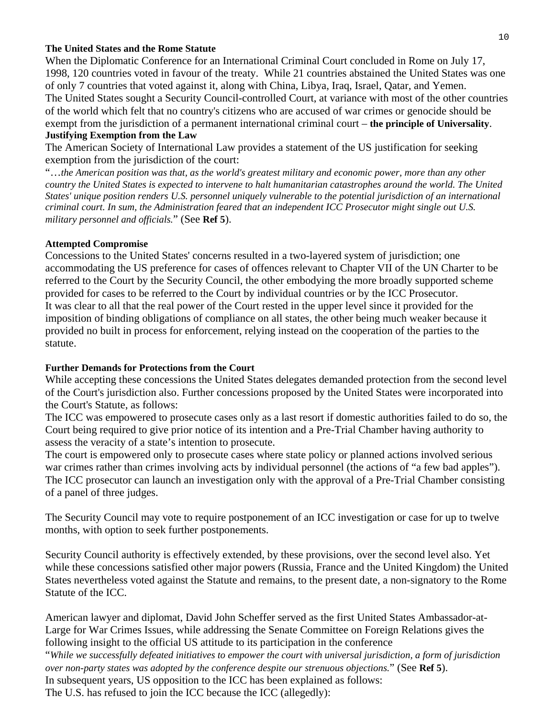#### **The United States and the Rome Statute**

When the Diplomatic Conference for an International Criminal Court concluded in Rome on July 17, 1998, 120 countries voted in favour of the treaty. While 21 countries abstained the United States was one of only 7 countries that voted against it, along with China, Libya, Iraq, Israel, Qatar, and Yemen. The United States sought a Security Council-controlled Court, at variance with most of the other countries of the world which felt that no country's citizens who are accused of war crimes or genocide should be exempt from the jurisdiction of a permanent international criminal court – **the principle of Universality**. **Justifying Exemption from the Law**

The American Society of International Law provides a statement of the US justification for seeking exemption from the jurisdiction of the court:

"…*the American position was that, as the world's greatest military and economic power, more than any other country the United States is expected to intervene to halt humanitarian catastrophes around the world. The United States' unique position renders U.S. personnel uniquely vulnerable to the potential jurisdiction of an international criminal court. In sum, the Administration feared that an independent ICC Prosecutor might single out U.S. military personnel and officials.*" (See **Ref 5**).

#### **Attempted Compromise**

Concessions to the United States' concerns resulted in a two-layered system of jurisdiction; one accommodating the US preference for cases of offences relevant to Chapter VII of the UN Charter to be referred to the Court by the Security Council, the other embodying the more broadly supported scheme provided for cases to be referred to the Court by individual countries or by the ICC Prosecutor. It was clear to all that the real power of the Court rested in the upper level since it provided for the imposition of binding obligations of compliance on all states, the other being much weaker because it provided no built in process for enforcement, relying instead on the cooperation of the parties to the statute.

#### **Further Demands for Protections from the Court**

While accepting these concessions the United States delegates demanded protection from the second level of the Court's jurisdiction also. Further concessions proposed by the United States were incorporated into the Court's Statute, as follows:

The ICC was empowered to prosecute cases only as a last resort if domestic authorities failed to do so, the Court being required to give prior notice of its intention and a Pre-Trial Chamber having authority to assess the veracity of a state's intention to prosecute.

The court is empowered only to prosecute cases where state policy or planned actions involved serious war crimes rather than crimes involving acts by individual personnel (the actions of "a few bad apples"). The ICC prosecutor can launch an investigation only with the approval of a Pre-Trial Chamber consisting of a panel of three judges.

The Security Council may vote to require postponement of an ICC investigation or case for up to twelve months, with option to seek further postponements.

Security Council authority is effectively extended, by these provisions, over the second level also. Yet while these concessions satisfied other major powers (Russia, France and the United Kingdom) the United States nevertheless voted against the Statute and remains, to the present date, a non-signatory to the Rome Statute of the ICC.

American lawyer and diplomat, David John Scheffer served as the first United States Ambassador-at-Large for War Crimes Issues, while addressing the Senate Committee on Foreign Relations gives the following insight to the official US attitude to its participation in the conference "*While we successfully defeated initiatives to empower the court with universal jurisdiction, a form of jurisdiction over non-party states was adopted by the conference despite our strenuous objections.*" (See **Ref 5**). In subsequent years, US opposition to the ICC has been explained as follows: The U.S. has refused to join the ICC because the ICC (allegedly):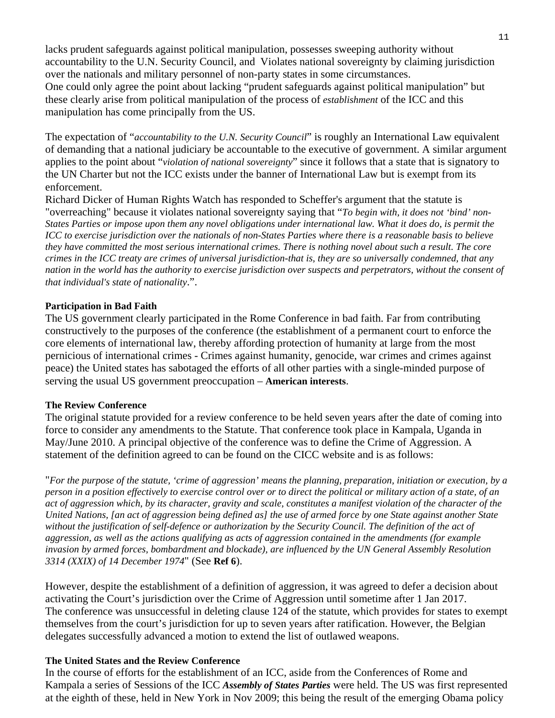lacks prudent safeguards against political manipulation, possesses sweeping authority without accountability to the U.N. Security Council, and Violates national sovereignty by claiming jurisdiction over the nationals and military personnel of non-party states in some circumstances. One could only agree the point about lacking "prudent safeguards against political manipulation" but these clearly arise from political manipulation of the process of *establishment* of the ICC and this manipulation has come principally from the US.

The expectation of "*accountability to the U.N. Security Council*" is roughly an International Law equivalent of demanding that a national judiciary be accountable to the executive of government. A similar argument applies to the point about "*violation of national sovereignty*" since it follows that a state that is signatory to the UN Charter but not the ICC exists under the banner of International Law but is exempt from its enforcement.

Richard Dicker of Human Rights Watch has responded to Scheffer's argument that the statute is "overreaching" because it violates national sovereignty saying that "*To begin with, it does not 'bind' non-States Parties or impose upon them any novel obligations under international law. What it does do, is permit the ICC to exercise jurisdiction over the nationals of non-States Parties where there is a reasonable basis to believe they have committed the most serious international crimes. There is nothing novel about such a result. The core crimes in the ICC treaty are crimes of universal jurisdiction-that is, they are so universally condemned, that any nation in the world has the authority to exercise jurisdiction over suspects and perpetrators, without the consent of that individual's state of nationality*.".

## **Participation in Bad Faith**

The US government clearly participated in the Rome Conference in bad faith. Far from contributing constructively to the purposes of the conference (the establishment of a permanent court to enforce the core elements of international law, thereby affording protection of humanity at large from the most pernicious of international crimes - Crimes against humanity, genocide, war crimes and crimes against peace) the United states has sabotaged the efforts of all other parties with a single-minded purpose of serving the usual US government preoccupation – **American interests**.

#### **The Review Conference**

The original statute provided for a review conference to be held seven years after the date of coming into force to consider any amendments to the Statute. That conference took place in Kampala, Uganda in May/June 2010. A principal objective of the conference was to define the Crime of Aggression. A statement of the definition agreed to can be found on the CICC website and is as follows:

"*For the purpose of the statute, 'crime of aggression' means the planning, preparation, initiation or execution, by a person in a position effectively to exercise control over or to direct the political or military action of a state, of an act of aggression which, by its character, gravity and scale, constitutes a manifest violation of the character of the United Nations, [an act of aggression being defined as] the use of armed force by one State against another State without the justification of self-defence or authorization by the Security Council. The definition of the act of aggression, as well as the actions qualifying as acts of aggression contained in the amendments (for example invasion by armed forces, bombardment and blockade), are influenced by the UN General Assembly Resolution 3314 (XXIX) of 14 December 1974*" (See **Ref 6**).

However, despite the establishment of a definition of aggression, it was agreed to defer a decision about activating the Court's jurisdiction over the Crime of Aggression until sometime after 1 Jan 2017. The conference was unsuccessful in deleting clause 124 of the statute, which provides for states to exempt themselves from the court's jurisdiction for up to seven years after ratification. However, the Belgian delegates successfully advanced a motion to extend the list of outlawed weapons.

## **The United States and the Review Conference**

In the course of efforts for the establishment of an ICC, aside from the Conferences of Rome and Kampala a series of Sessions of the ICC *Assembly of States Parties* were held. The US was first represented at the eighth of these, held in New York in Nov 2009; this being the result of the emerging Obama policy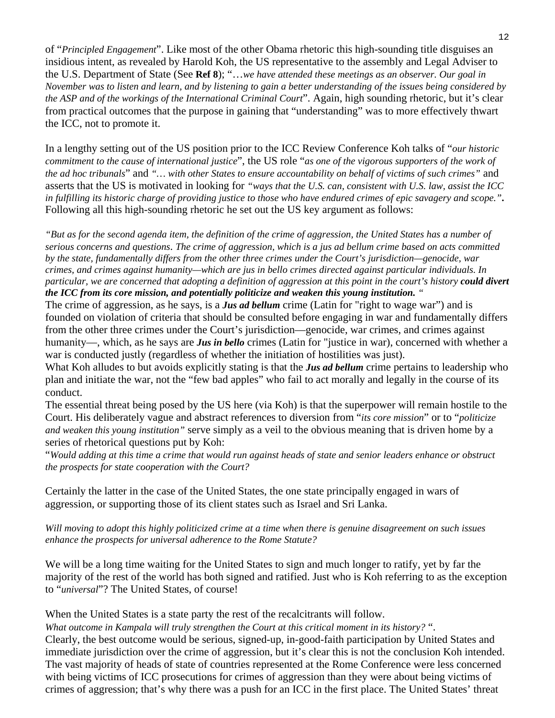of "*Principled Engagement*". Like most of the other Obama rhetoric this high-sounding title disguises an insidious intent, as revealed by Harold Koh, the US representative to the assembly and Legal Adviser to the U.S. Department of State (See **Ref 8**); "…*we have attended these meetings as an observer. Our goal in November was to listen and learn, and by listening to gain a better understanding of the issues being considered by the ASP and of the workings of the International Criminal Court*". Again, high sounding rhetoric, but it's clear from practical outcomes that the purpose in gaining that "understanding" was to more effectively thwart the ICC, not to promote it.

In a lengthy setting out of the US position prior to the ICC Review Conference Koh talks of "*our historic commitment to the cause of international justice*", the US role "*as one of the vigorous supporters of the work of the ad hoc tribunals*" and *"… with other States to ensure accountability on behalf of victims of such crimes"* and asserts that the US is motivated in looking for *"ways that the U.S. can, consistent with U.S. law, assist the ICC in fulfilling its historic charge of providing justice to those who have endured crimes of epic savagery and scope."***.**  Following all this high-sounding rhetoric he set out the US key argument as follows:

*"But as for the second agenda item, the definition of the crime of aggression, the United States has a number of serious concerns and questions*. *The crime of aggression, which is a jus ad bellum crime based on acts committed by the state, fundamentally differs from the other three crimes under the Court's jurisdiction—genocide, war crimes, and crimes against humanity—which are jus in bello crimes directed against particular individuals. In particular, we are concerned that adopting a definition of aggression at this point in the court's history could divert the ICC from its core mission, and potentially politicize and weaken this young institution. "*

The crime of aggression, as he says, is a *Jus ad bellum* crime (Latin for "right to wage war") and is founded on violation of criteria that should be consulted before engaging in war and fundamentally differs from the other three crimes under the Court's jurisdiction—genocide, war crimes, and crimes against humanity—, which, as he says are *Jus in bello* crimes (Latin for "justice in war), concerned with whether a war is conducted justly (regardless of whether the initiation of hostilities was just).

What Koh alludes to but avoids explicitly stating is that the *Jus ad bellum* crime pertains to leadership who plan and initiate the war, not the "few bad apples" who fail to act morally and legally in the course of its conduct.

The essential threat being posed by the US here (via Koh) is that the superpower will remain hostile to the Court. His deliberately vague and abstract references to diversion from "*its core mission*" or to "*politicize and weaken this young institution"* serve simply as a veil to the obvious meaning that is driven home by a series of rhetorical questions put by Koh:

"*Would adding at this time a crime that would run against heads of state and senior leaders enhance or obstruct the prospects for state cooperation with the Court?* 

Certainly the latter in the case of the United States, the one state principally engaged in wars of aggression, or supporting those of its client states such as Israel and Sri Lanka.

*Will moving to adopt this highly politicized crime at a time when there is genuine disagreement on such issues enhance the prospects for universal adherence to the Rome Statute?* 

We will be a long time waiting for the United States to sign and much longer to ratify, yet by far the majority of the rest of the world has both signed and ratified. Just who is Koh referring to as the exception to "*universal*"? The United States, of course!

When the United States is a state party the rest of the recalcitrants will follow.

*What outcome in Kampala will truly strengthen the Court at this critical moment in its history?* ".

Clearly, the best outcome would be serious, signed-up, in-good-faith participation by United States and immediate jurisdiction over the crime of aggression, but it's clear this is not the conclusion Koh intended. The vast majority of heads of state of countries represented at the Rome Conference were less concerned with being victims of ICC prosecutions for crimes of aggression than they were about being victims of crimes of aggression; that's why there was a push for an ICC in the first place. The United States' threat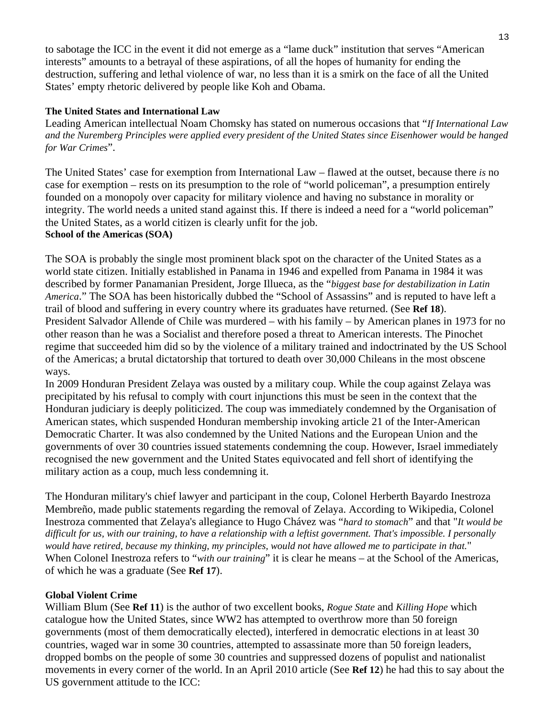to sabotage the ICC in the event it did not emerge as a "lame duck" institution that serves "American interests" amounts to a betrayal of these aspirations, of all the hopes of humanity for ending the destruction, suffering and lethal violence of war, no less than it is a smirk on the face of all the United States' empty rhetoric delivered by people like Koh and Obama.

## **The United States and International Law**

Leading American intellectual Noam Chomsky has stated on numerous occasions that "*If International Law and the Nuremberg Principles were applied every president of the United States since Eisenhower would be hanged for War Crimes*".

The United States' case for exemption from International Law – flawed at the outset, because there *is* no case for exemption – rests on its presumption to the role of "world policeman", a presumption entirely founded on a monopoly over capacity for military violence and having no substance in morality or integrity. The world needs a united stand against this. If there is indeed a need for a "world policeman" the United States, as a world citizen is clearly unfit for the job. **School of the Americas (SOA)** 

The SOA is probably the single most prominent black spot on the character of the United States as a world state citizen. Initially established in Panama in 1946 and expelled from Panama in 1984 it was described by former Panamanian President, Jorge Illueca, as the "*biggest base for destabilization in Latin America*." The SOA has been historically dubbed the "School of Assassins" and is reputed to have left a trail of blood and suffering in every country where its graduates have returned. (See **Ref 18**). President Salvador Allende of Chile was murdered – with his family – by American planes in 1973 for no other reason than he was a Socialist and therefore posed a threat to American interests. The Pinochet regime that succeeded him did so by the violence of a military trained and indoctrinated by the US School of the Americas; a brutal dictatorship that tortured to death over 30,000 Chileans in the most obscene ways.

In 2009 Honduran President Zelaya was ousted by a military coup. While the coup against Zelaya was precipitated by his refusal to comply with court injunctions this must be seen in the context that the Honduran judiciary is deeply politicized. The coup was immediately condemned by the Organisation of American states, which suspended Honduran membership invoking article 21 of the Inter-American Democratic Charter. It was also condemned by the United Nations and the European Union and the governments of over 30 countries issued statements condemning the coup. However, Israel immediately recognised the new government and the United States equivocated and fell short of identifying the military action as a coup, much less condemning it.

The Honduran military's chief lawyer and participant in the coup, Colonel Herberth Bayardo Inestroza Membreño, made public statements regarding the removal of Zelaya. According to Wikipedia, Colonel Inestroza commented that Zelaya's allegiance to Hugo Chávez was "*hard to stomach*" and that "*It would be difficult for us, with our training, to have a relationship with a leftist government. That's impossible. I personally would have retired, because my thinking, my principles, would not have allowed me to participate in that.*" When Colonel Inestroza refers to "*with our training*" it is clear he means – at the School of the Americas, of which he was a graduate (See **Ref 17**).

## **Global Violent Crime**

William Blum (See **Ref 11**) is the author of two excellent books, *Rogue State* and *Killing Hope* which catalogue how the United States, since WW2 has attempted to overthrow more than 50 foreign governments (most of them democratically elected), interfered in democratic elections in at least 30 countries, waged war in some 30 countries, attempted to assassinate more than 50 foreign leaders, dropped bombs on the people of some 30 countries and suppressed dozens of populist and nationalist movements in every corner of the world. In an April 2010 article (See **Ref 12**) he had this to say about the US government attitude to the ICC: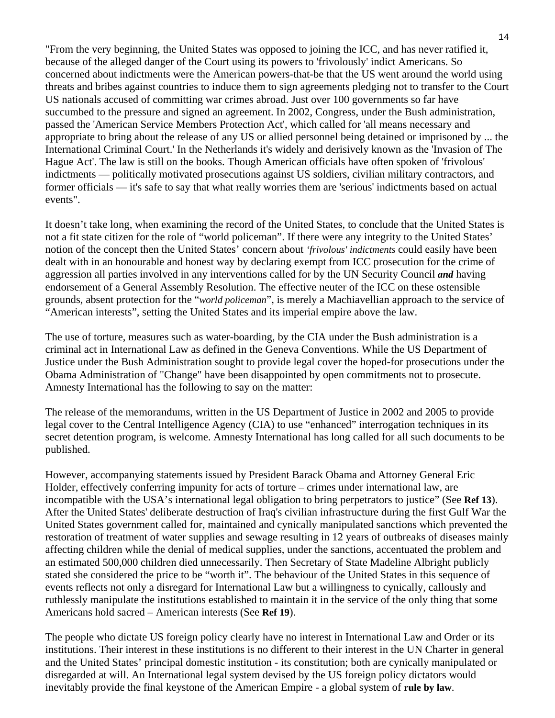"From the very beginning, the United States was opposed to joining the ICC, and has never ratified it, because of the alleged danger of the Court using its powers to 'frivolously' indict Americans. So concerned about indictments were the American powers-that-be that the US went around the world using threats and bribes against countries to induce them to sign agreements pledging not to transfer to the Court US nationals accused of committing war crimes abroad. Just over 100 governments so far have succumbed to the pressure and signed an agreement. In 2002, Congress, under the Bush administration, passed the 'American Service Members Protection Act', which called for 'all means necessary and appropriate to bring about the release of any US or allied personnel being detained or imprisoned by ... the International Criminal Court.' In the Netherlands it's widely and derisively known as the 'Invasion of The Hague Act'. The law is still on the books. Though American officials have often spoken of 'frivolous' indictments — politically motivated prosecutions against US soldiers, civilian military contractors, and former officials — it's safe to say that what really worries them are 'serious' indictments based on actual events".

It doesn't take long, when examining the record of the United States, to conclude that the United States is not a fit state citizen for the role of "world policeman". If there were any integrity to the United States' notion of the concept then the United States' concern about *'frivolous' indictments* could easily have been dealt with in an honourable and honest way by declaring exempt from ICC prosecution for the crime of aggression all parties involved in any interventions called for by the UN Security Council *and* having endorsement of a General Assembly Resolution. The effective neuter of the ICC on these ostensible grounds, absent protection for the "*world policeman*", is merely a Machiavellian approach to the service of "American interests", setting the United States and its imperial empire above the law.

The use of torture, measures such as water-boarding, by the CIA under the Bush administration is a criminal act in International Law as defined in the Geneva Conventions. While the US Department of Justice under the Bush Administration sought to provide legal cover the hoped-for prosecutions under the Obama Administration of "Change" have been disappointed by open commitments not to prosecute. Amnesty International has the following to say on the matter:

The release of the memorandums, written in the US Department of Justice in 2002 and 2005 to provide legal cover to the Central Intelligence Agency (CIA) to use "enhanced" interrogation techniques in its secret detention program, is welcome. Amnesty International has long called for all such documents to be published.

However, accompanying statements issued by President Barack Obama and Attorney General Eric Holder, effectively conferring impunity for acts of torture – crimes under international law, are incompatible with the USA's international legal obligation to bring perpetrators to justice" (See **Ref 13**). After the United States' deliberate destruction of Iraq's civilian infrastructure during the first Gulf War the United States government called for, maintained and cynically manipulated sanctions which prevented the restoration of treatment of water supplies and sewage resulting in 12 years of outbreaks of diseases mainly affecting children while the denial of medical supplies, under the sanctions, accentuated the problem and an estimated 500,000 children died unnecessarily. Then Secretary of State Madeline Albright publicly stated she considered the price to be "worth it". The behaviour of the United States in this sequence of events reflects not only a disregard for International Law but a willingness to cynically, callously and ruthlessly manipulate the institutions established to maintain it in the service of the only thing that some Americans hold sacred – American interests (See **Ref 19**).

The people who dictate US foreign policy clearly have no interest in International Law and Order or its institutions. Their interest in these institutions is no different to their interest in the UN Charter in general and the United States' principal domestic institution - its constitution; both are cynically manipulated or disregarded at will. An International legal system devised by the US foreign policy dictators would inevitably provide the final keystone of the American Empire - a global system of **rule by law**.